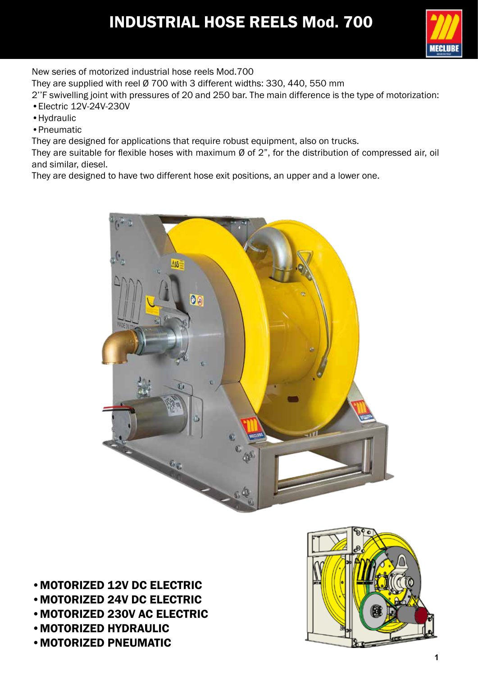# **INDUSTRIAL HOSE REELS Mod. 700**



New series of motorized industrial hose reels Mod.700

They are supplied with reel Ø 700 with 3 different widths: 330, 440, 550 mm

2''F swivelling joint with pressures of 20 and 250 bar. The main difference is the type of motorization:

- •Electric 12V-24V-230V
- •Hydraulic
- •Pneumatic

They are designed for applications that require robust equipment, also on trucks.

They are suitable for flexible hoses with maximum Ø of 2", for the distribution of compressed air, oil and similar, diesel.

They are designed to have two different hose exit positions, an upper and a lower one.



- •MOTORIZED 12V DC ELECTRIC •MOTORIZED 24V DC ELECTRIC •MOTORIZED 230V AC ELECTRIC
- •MOTORIZED HYDRAULIC
- •MOTORIZED PNEUMATIC

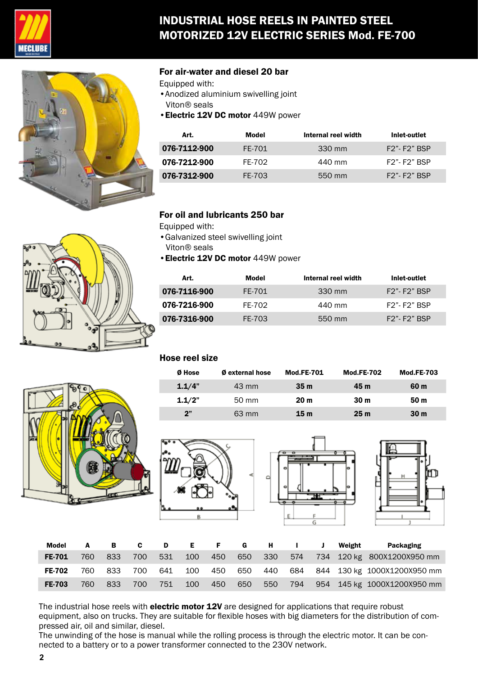

## INDUSTRIAL HOSE REELS IN PAINTED STEEL MOTORIZED 12V ELECTRIC SERIES Mod. FE-700



#### For air-water and diesel 20 bar

- Equipped with:
- •Anodized aluminium swivelling joint Viton® seals
- •Electric 12V DC motor 449W power

| Art.         | Model  | Internal reel width | Inlet-outlet    |
|--------------|--------|---------------------|-----------------|
| 076-7112-900 | FE-701 | 330 mm              | $F2" - F2"$ BSP |
| 076-7212-900 | FF-702 | 440 mm              | $F2" - F2"$ BSP |
| 076-7312-900 | FE-703 | 550 mm              | $F2" - F2"$ BSP |

#### For oil and lubricants 250 bar

- Equipped with:
- •Galvanized steel swivelling joint Viton® seals
- •Electric 12V DC motor 449W power

| Model  | Internal reel width | Inlet-outlet    |
|--------|---------------------|-----------------|
| FE-701 | 330 mm              | $F2" - F2"$ BSP |
| FF-702 | 440 mm              | $F2" - F2"$ BSP |
| FE-703 | 550 mm              | $F2" - F2"$ BSP |
|        |                     |                 |

#### Hose reel size

| Ø Hose | <b>Ø</b> external hose | <b>Mod.FE-701</b> | <b>Mod.FE-702</b> | <b>Mod.FE-703</b> |
|--------|------------------------|-------------------|-------------------|-------------------|
| 1.1/4" | 43 mm                  | 35m               | 45 m              | 60 m              |
| 1.1/2" | 50 mm                  | 20 <sub>m</sub>   | 30 <sub>m</sub>   | 50 <sub>m</sub>   |
| 2"     | 63 mm                  | 15m               | 25 <sub>m</sub>   | 30 <sub>m</sub>   |







| Model         |     | в.  | C . | D   | E.  | F.  | G   | н.      |     | Weight | Packaging                   |
|---------------|-----|-----|-----|-----|-----|-----|-----|---------|-----|--------|-----------------------------|
| <b>FE-701</b> | 760 | 833 | 700 | 531 | 100 | 450 |     | 650 330 | 574 |        | 734 120 kg 800X1200X950 mm  |
| <b>FE-702</b> | 760 | 833 | 700 | 641 | 100 | 450 | 650 | 440     | 684 |        | 844 130 kg 1000X1200X950 mm |
| <b>FE-703</b> | 760 | 833 | 700 | 751 | 100 | 450 | 650 | 550     | 794 |        | 954 145 kg 1000X1200X950 mm |

The industrial hose reels with electric motor 12V are designed for applications that require robust equipment, also on trucks. They are suitable for flexible hoses with big diameters for the distribution of compressed air, oil and similar, diesel.

The unwinding of the hose is manual while the rolling process is through the electric motor. It can be connected to a battery or to a power transformer connected to the 230V network.



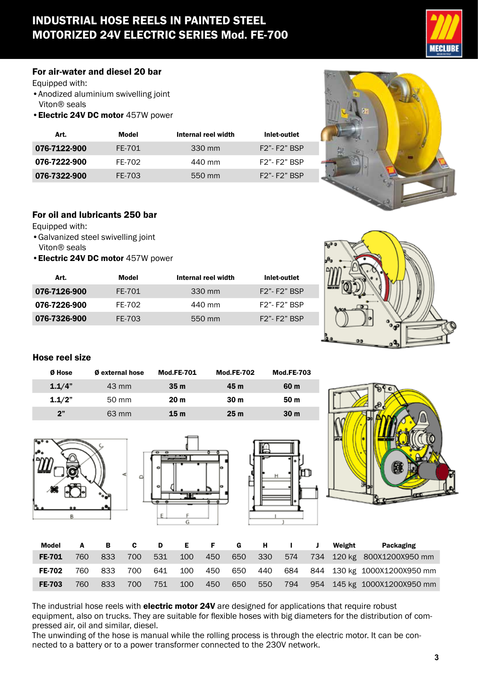## INDUSTRIAL HOSE REELS IN PAINTED STEEL MOTORIZED 24V ELECTRIC SERIES Mod. FE-700



#### For air-water and diesel 20 bar

Equipped with:

- Anodized aluminium swivelling joint Viton® seals
- •Electric 24V DC motor 457W power

| Art.         | Model  | Internal reel width | Inlet-outlet       |
|--------------|--------|---------------------|--------------------|
| 076-7122-900 | FE-701 | 330 mm              | $F2" - F2"$ BSP    |
| 076-7222-900 | FF-702 | 440 mm              | <b>F2"-F2" BSP</b> |
| 076-7322-900 | FE-703 | 550 mm              | $F2" - F2"$ BSP    |



### For oil and lubricants 250 bar

Equipped with:

- •Galvanized steel swivelling joint Viton® seals
- •Electric 24V DC motor 457W power

| Art.         | Model  | Internal reel width | Inlet-outlet       |
|--------------|--------|---------------------|--------------------|
| 076-7126-900 | FE-701 | 330 mm              | $F2" - F2"$ BSP    |
| 076-7226-900 | FF-702 | 440 mm              | $F2$ "- $F2$ " BSP |
| 076-7326-900 | FE-703 | 550 mm              | $F2" - F2"$ BSP    |



#### Hose reel size

| Ø Hose | <b>Ø</b> external hose | <b>Mod.FE-701</b> | <b>Mod.FE-702</b> | <b>Mod.FE-703</b> |
|--------|------------------------|-------------------|-------------------|-------------------|
| 1.1/4" | 43 mm                  | 35m               | 45 m              | 60 m              |
| 1.1/2" | 50 mm                  | 20 <sub>m</sub>   | 30 <sub>m</sub>   | 50 <sub>m</sub>   |
| 2"     | 63 mm                  | 15 <sub>m</sub>   | 25 <sub>m</sub>   | 30 <sub>m</sub>   |









| Model         |     | В.  | C   | D   | E   | . F. | <b>G</b> | $H$ and $H$ |     | Weight | Packaging                   |
|---------------|-----|-----|-----|-----|-----|------|----------|-------------|-----|--------|-----------------------------|
| <b>FE-701</b> | 760 | 833 | 700 | 531 | 100 | 450  | 650      | 330         | 574 |        | 734 120 kg 800X1200X950 mm  |
| <b>FE-702</b> | 760 | 833 | 700 | 641 | 100 | 450  | 650      | 440         | 684 |        | 844 130 kg 1000X1200X950 mm |
| <b>FE-703</b> | 760 | 833 | 700 | 751 | 100 | 450  | 650      | 550         | 794 |        | 954 145 kg 1000X1200X950 mm |

The industrial hose reels with electric motor 24V are designed for applications that require robust equipment, also on trucks. They are suitable for flexible hoses with big diameters for the distribution of compressed air, oil and similar, diesel.

The unwinding of the hose is manual while the rolling process is through the electric motor. It can be connected to a battery or to a power transformer connected to the 230V network.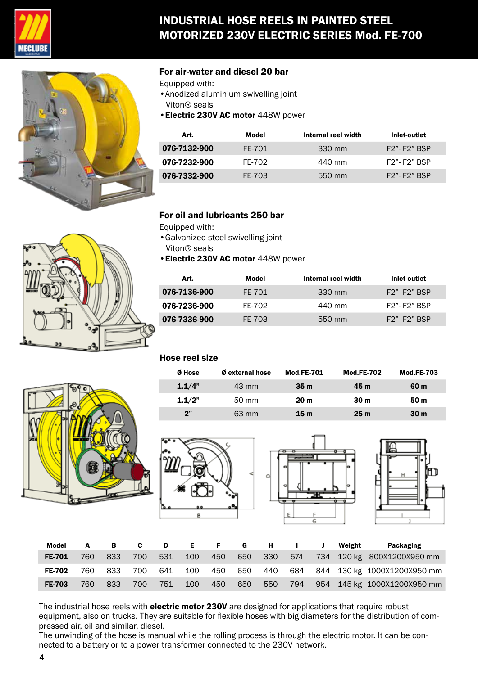

## INDUSTRIAL HOSE REELS IN PAINTED STEEL MOTORIZED 230V ELECTRIC SERIES Mod. FE-700



#### For air-water and diesel 20 bar

- Equipped with:
- •Anodized aluminium swivelling joint Viton® seals
- •Electric 230V AC motor 448W power

| Art.         | Model  | Internal reel width | Inlet-outlet    |
|--------------|--------|---------------------|-----------------|
| 076-7132-900 | FE-701 | 330 mm              | $F2" - F2"$ BSP |
| 076-7232-900 | FF-702 | 440 mm              | $F2" - F2"$ BSP |
| 076-7332-900 | FE-703 | 550 mm              | $F2" - F2"$ BSP |

#### For oil and lubricants 250 bar

- Equipped with:
- •Galvanized steel swivelling joint Viton® seals
- •Electric 230V AC motor 448W power

| Art.         | Model  | Internal reel width | Inlet-outlet      |
|--------------|--------|---------------------|-------------------|
| 076-7136-900 | FE-701 | 330 mm              | $F2" - F2"$ BSP   |
| 076-7236-900 | FF-702 | 440 mm              | $F2" - F2"$ BSP   |
| 076-7336-900 | FE-703 | 550 mm              | $F2"$ - $F2"$ BSP |

#### Hose reel size

| Ø Hose | <b>Ø</b> external hose | <b>Mod.FE-701</b> | <b>Mod.FE-702</b> | <b>Mod.FE-703</b> |
|--------|------------------------|-------------------|-------------------|-------------------|
| 1.1/4" | 43 mm                  | 35m               | 45 m              | 60 m              |
| 1.1/2" | 50 mm                  | 20 <sub>m</sub>   | 30 <sub>m</sub>   | 50 <sub>m</sub>   |
| 2"     | 63 mm                  | 15m               | 25 <sub>m</sub>   | 30 <sub>m</sub>   |







| Model         |      | — В | C.  | D   |     | E F | <b>G</b> | $H$ and $H$ | $\mathbf{I}$ | <b>J</b> | Weight | Packaging                               |
|---------------|------|-----|-----|-----|-----|-----|----------|-------------|--------------|----------|--------|-----------------------------------------|
| <b>FE-701</b> | 760  | 833 | 700 | 531 | 100 | 450 |          | 650 330     | 574          |          |        | 734 120 kg 800X1200X950 mm              |
| <b>FE-702</b> | 760  | 833 | 700 | 641 | 100 | 450 |          |             |              |          |        | 650 440 684 844 130 kg 1000X1200X950 mm |
| <b>FE-703</b> | 760. | 833 | 700 | 751 | 100 | 450 | 650 -    | 550         |              |          |        | 794 954 145 kg 1000X1200X950 mm         |

The industrial hose reels with electric motor 230V are designed for applications that require robust equipment, also on trucks. They are suitable for flexible hoses with big diameters for the distribution of compressed air, oil and similar, diesel.

The unwinding of the hose is manual while the rolling process is through the electric motor. It can be connected to a battery or to a power transformer connected to the 230V network.



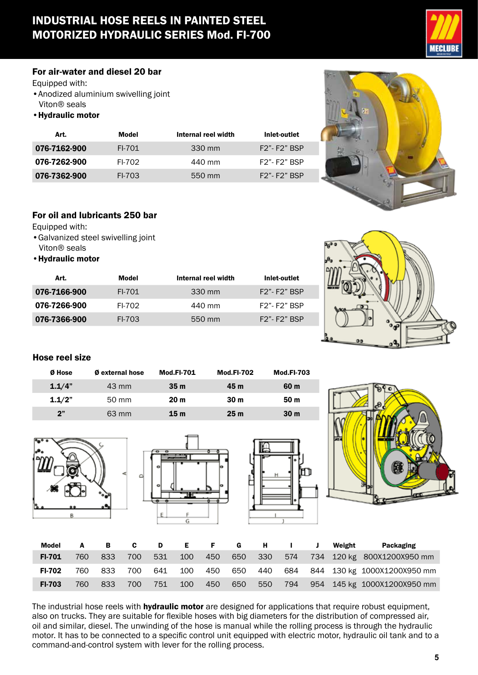## INDUSTRIAL HOSE REELS IN PAINTED STEEL MOTORIZED HYDRAULIC SERIES Mod. FI-700



#### For air-water and diesel 20 bar

Equipped with:

• Anodized aluminium swivelling joint Viton® seals

•Hydraulic motor

| Art.         | Model  | Internal reel width | Inlet-outlet    |
|--------------|--------|---------------------|-----------------|
| 076-7162-900 | FI-701 | 330 mm              | $F2" - F2"$ BSP |
| 076-7262-900 | FI-702 | 440 mm              | $F2" - F2"$ BSP |
| 076-7362-900 | FI-703 | 550 mm              | $F2" - F2"$ BSP |



### For oil and lubricants 250 bar

Equipped with:

- •Galvanized steel swivelling joint Viton® seals
- •Hydraulic motor

| Art.         | Model    | Internal reel width | Inlet-outlet    |
|--------------|----------|---------------------|-----------------|
| 076-7166-900 | $FI-701$ | 330 mm              | $F2" - F2"$ BSP |
| 076-7266-900 | FI-702   | 440 mm              | $F2" - F2"$ BSP |
| 076-7366-900 | FI-703   | 550 mm              | $F2" - F2"$ BSP |



#### Hose reel size

| Ø Hose | <b>Ø</b> external hose | <b>Mod.FI-701</b> | <b>Mod.FI-702</b> | <b>Mod.FI-703</b> |
|--------|------------------------|-------------------|-------------------|-------------------|
| 1.1/4" | 43 mm                  | 35m               | 45 m              | 60 m              |
| 1.1/2" | 50 mm                  | 20 <sub>m</sub>   | 30 <sub>m</sub>   | 50 <sub>m</sub>   |
| 2"     | 63 mm                  | 15 <sub>m</sub>   | 25 <sub>m</sub>   | 30 <sub>m</sub>   |









| <b>Model</b>  |     | в   | C   | D   | Е.         | F.  | <b>G</b> | н       |     | Weight | <b>Packaging</b>            |
|---------------|-----|-----|-----|-----|------------|-----|----------|---------|-----|--------|-----------------------------|
| FI-701        | 760 | 833 | 700 | 531 | <b>100</b> | 450 | 650      | - 330 - | 574 |        | 734 120 kg 800X1200X950 mm  |
| <b>FI-702</b> | 760 | 833 | 700 | 641 | 100        | 450 | 650      | 440     | 684 |        | 844 130 kg 1000X1200X950 mm |
| <b>FI-703</b> | 760 | 833 | 700 | 751 | 100        | 450 | 650      | 550     | 794 |        | 954 145 kg 1000X1200X950 mm |

The industrial hose reels with **hydraulic motor** are designed for applications that require robust equipment, also on trucks. They are suitable for flexible hoses with big diameters for the distribution of compressed air, oil and similar, diesel. The unwinding of the hose is manual while the rolling process is through the hydraulic motor. It has to be connected to a specific control unit equipped with electric motor, hydraulic oil tank and to a command-and-control system with lever for the rolling process.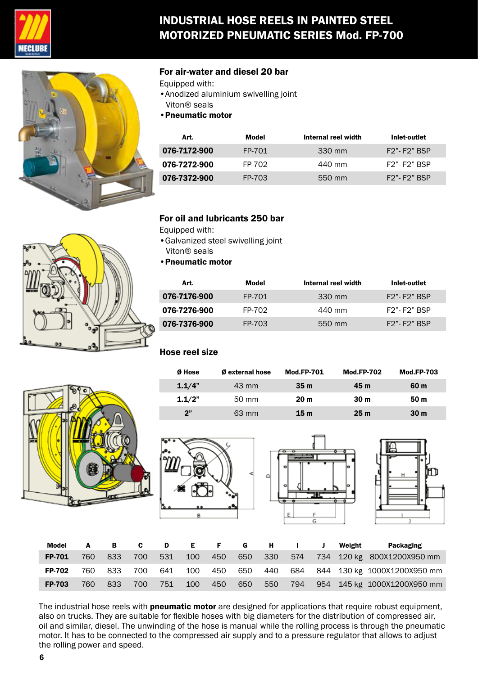

## INDUSTRIAL HOSE REELS IN PAINTED STEEL MOTORIZED PNEUMATIC SERIES Mod. FP-700



#### For air-water and diesel 20 bar

- Equipped with:
- •Anodized aluminium swivelling joint Viton® seals
- •Pneumatic motor

| Art.         | Model  | Internal reel width | Inlet-outlet    |
|--------------|--------|---------------------|-----------------|
| 076-7172-900 | FP-701 | 330 mm              | $F2" - F2"$ BSP |
| 076-7272-900 | FP-702 | 440 mm              | $F2" - F2"$ BSP |
| 076-7372-900 | FP-703 | 550 mm              | $F2" - F2"$ BSP |



#### For oil and lubricants 250 bar

Equipped with:

- •Galvanized steel swivelling joint Viton® seals
- •Pneumatic motor

| Art.         | Model  | Internal reel width | Inlet-outlet    |
|--------------|--------|---------------------|-----------------|
| 076-7176-900 | FP-701 | 330 mm              | $F2" - F2"$ BSP |
| 076-7276-900 | FP-702 | 440 mm              | $F2" - F2"$ RSP |
| 076-7376-900 | FP-703 | 550 mm              | $F2" - F2"$ BSP |

#### Hose reel size

| Ø Hose | <b>Ø</b> external hose | <b>Mod.FP-701</b> | <b>Mod.FP-702</b> | <b>Mod.FP-703</b> |
|--------|------------------------|-------------------|-------------------|-------------------|
| 1.1/4" | $43 \text{ mm}$        | 35m               | 45 m              | 60 m              |
| 1.1/2" | 50 mm                  | 20 <sub>m</sub>   | 30 <sub>m</sub>   | 50 <sub>m</sub>   |
| 2"     | 63 mm                  | 15 <sub>m</sub>   | 25 <sub>m</sub>   | 30 <sub>m</sub>   |









| Model         | A   | $\overline{B}$ | C.   | D D |       |     | E F G |                  | $H = 1$ | $\mathbf{J}$ | Weight | Packaging                       |
|---------------|-----|----------------|------|-----|-------|-----|-------|------------------|---------|--------------|--------|---------------------------------|
| <b>FP-701</b> | 760 | 833            | 700  | 531 | - 100 | 450 |       | 650 330          | 574     |              |        | 734 120 kg 800X1200X950 mm      |
| <b>FP-702</b> | 760 | 833            | 700  | 641 | 100   | 450 |       | 650 440          |         |              |        | 684 844 130 kg 1000X1200X950 mm |
| <b>FP-703</b> | 760 | 833            | 700. | 751 | 100   | 450 | 650   | 550 <sub>1</sub> | 794     |              |        | 954 145 kg 1000X1200X950 mm     |

The industrial hose reels with **pneumatic motor** are designed for applications that require robust equipment, also on trucks. They are suitable for flexible hoses with big diameters for the distribution of compressed air, oil and similar, diesel. The unwinding of the hose is manual while the rolling process is through the pneumatic motor. It has to be connected to the compressed air supply and to a pressure regulator that allows to adjust the rolling power and speed.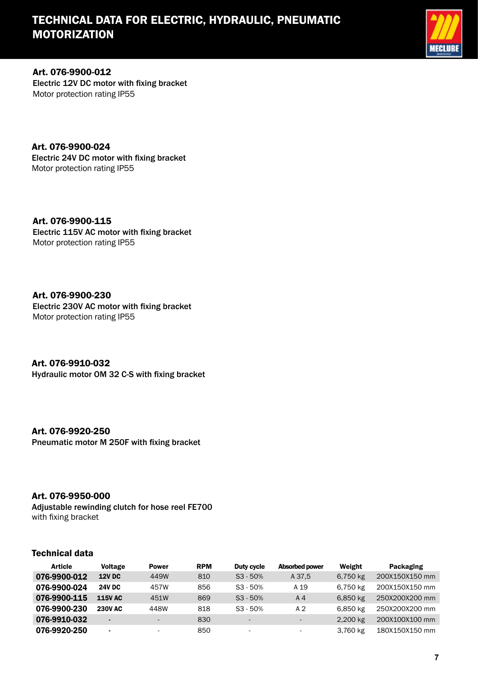## TECHNICAL DATA FOR ELECTRIC, HYDRAULIC, PNEUMATIC MOTORIZATION



Art. 076-9900-012 Electric 12V DC motor with fixing bracket Motor protection rating IP55

Art. 076-9900-024 Electric 24V DC motor with fixing bracket Motor protection rating IP55

Art. 076-9900-115 Electric 115V AC motor with fixing bracket Motor protection rating IP55

Art. 076-9900-230 Electric 230V AC motor with fixing bracket Motor protection rating IP55

Art. 076-9910-032 Hydraulic motor OM 32 C-S with fixing bracket

#### Art. 076-9920-250

Pneumatic motor M 250F with fixing bracket

#### Art. 076-9950-000

Adjustable rewinding clutch for hose reel FE700 with fixing bracket

#### Technical data

| <b>Article</b> | <b>Voltage</b> | <b>Power</b> | <b>RPM</b> | Duty cycle               | Absorbed power           | Weight   | Packaging      |
|----------------|----------------|--------------|------------|--------------------------|--------------------------|----------|----------------|
| 076-9900-012   | <b>12V DC</b>  | 449W         | 810        | $S3 - 50%$               | A 37.5                   | 6,750 kg | 200X150X150 mm |
| 076-9900-024   | <b>24V DC</b>  | 457W         | 856        | $S3 - 50%$               | A 19                     | 6,750 kg | 200X150X150 mm |
| 076-9900-115   | <b>115V AC</b> | 451W         | 869        | $S3 - 50%$               | A 4                      | 6,850 kg | 250X200X200 mm |
| 076-9900-230   | <b>230V AC</b> | 448W         | 818        | $S3 - 50%$               | A 2                      | 6,850 kg | 250X200X200 mm |
| 076-9910-032   |                | -            | 830        | $\sim$                   | $\sim$                   | 2,200 kg | 200X100X100 mm |
| 076-9920-250   | $\blacksquare$ | ۰            | 850        | $\overline{\phantom{a}}$ | $\overline{\phantom{a}}$ | 3,760 kg | 180X150X150 mm |